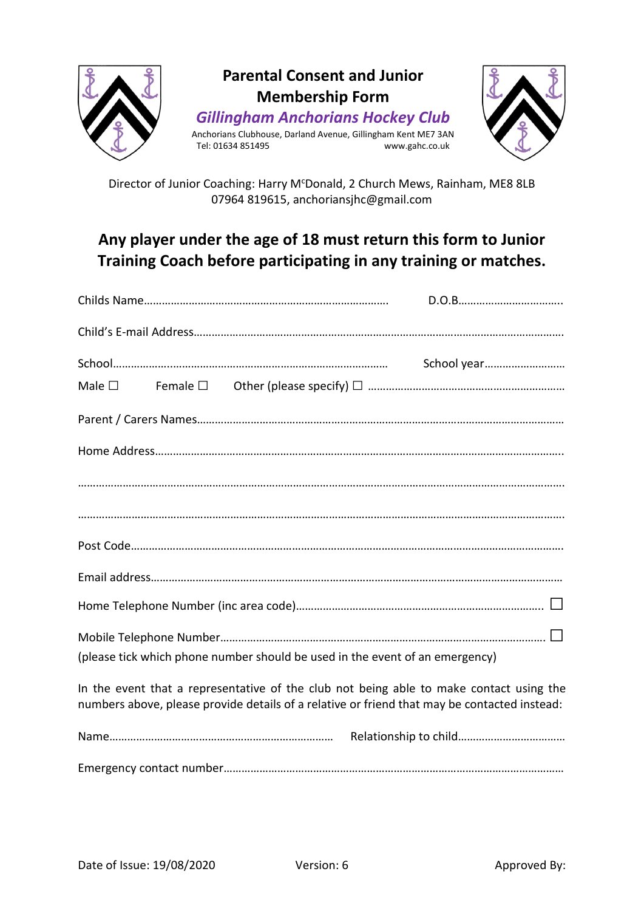

Director of Junior Coaching: Harry M<sup>c</sup>Donald, 2 Church Mews, Rainham, ME8 8LB 07964 819615, anchoriansjhc@gmail.com

# **Any player under the age of 18 must return this form to Junior Training Coach before participating in any training or matches.**

| Male $\square$                                                                                                                                                                          |  |
|-----------------------------------------------------------------------------------------------------------------------------------------------------------------------------------------|--|
|                                                                                                                                                                                         |  |
|                                                                                                                                                                                         |  |
|                                                                                                                                                                                         |  |
|                                                                                                                                                                                         |  |
|                                                                                                                                                                                         |  |
|                                                                                                                                                                                         |  |
|                                                                                                                                                                                         |  |
|                                                                                                                                                                                         |  |
| (please tick which phone number should be used in the event of an emergency)                                                                                                            |  |
| In the event that a representative of the club not being able to make contact using the<br>numbers above, please provide details of a relative or friend that may be contacted instead: |  |
|                                                                                                                                                                                         |  |
|                                                                                                                                                                                         |  |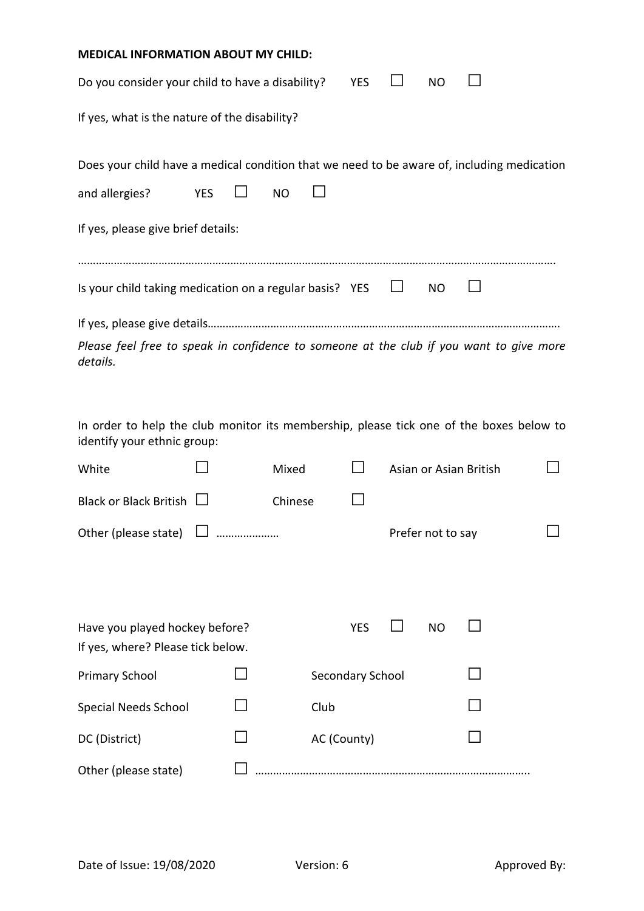| <b>MEDICAL INFORMATION ABOUT MY CHILD:</b>                                                                             |            |           |            |                        |     |  |  |  |
|------------------------------------------------------------------------------------------------------------------------|------------|-----------|------------|------------------------|-----|--|--|--|
| Do you consider your child to have a disability?                                                                       |            |           | <b>YES</b> |                        | NO. |  |  |  |
| If yes, what is the nature of the disability?                                                                          |            |           |            |                        |     |  |  |  |
| Does your child have a medical condition that we need to be aware of, including medication                             |            |           |            |                        |     |  |  |  |
| and allergies?                                                                                                         | <b>YES</b> | <b>NO</b> |            |                        |     |  |  |  |
| If yes, please give brief details:                                                                                     |            |           |            |                        |     |  |  |  |
| Is your child taking medication on a regular basis? YES                                                                |            |           |            |                        | NO  |  |  |  |
|                                                                                                                        |            |           |            |                        |     |  |  |  |
| Please feel free to speak in confidence to someone at the club if you want to give more<br>details.                    |            |           |            |                        |     |  |  |  |
| In order to help the club monitor its membership, please tick one of the boxes below to<br>identify your ethnic group: |            |           |            |                        |     |  |  |  |
| White                                                                                                                  |            | Mixed     |            | Asian or Asian British |     |  |  |  |
| <b>Black or Black British</b>                                                                                          |            | Chinese   |            |                        |     |  |  |  |
| Other (please state) $\Box$                                                                                            |            |           |            | Prefer not to say      |     |  |  |  |
|                                                                                                                        |            |           |            |                        |     |  |  |  |
|                                                                                                                        |            |           |            |                        |     |  |  |  |

| Have you played hockey before?<br>If yes, where? Please tick below. | <b>YES</b><br>N <sub>O</sub> |  |
|---------------------------------------------------------------------|------------------------------|--|
| <b>Primary School</b>                                               | Secondary School             |  |
| <b>Special Needs School</b>                                         | Club                         |  |
| DC (District)                                                       | AC (County)                  |  |
| Other (please state)                                                |                              |  |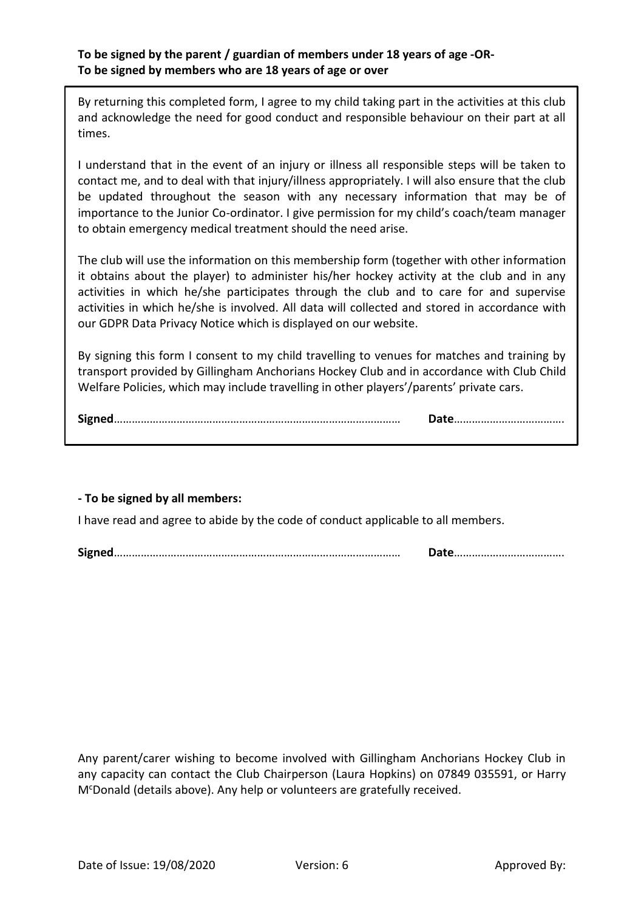#### **To be signed by the parent / guardian of members under 18 years of age -OR-To be signed by members who are 18 years of age or over**

By returning this completed form, I agree to my child taking part in the activities at this club and acknowledge the need for good conduct and responsible behaviour on their part at all times.

I understand that in the event of an injury or illness all responsible steps will be taken to contact me, and to deal with that injury/illness appropriately. I will also ensure that the club be updated throughout the season with any necessary information that may be of importance to the Junior Co-ordinator. I give permission for my child's coach/team manager to obtain emergency medical treatment should the need arise.

The club will use the information on this membership form (together with other information it obtains about the player) to administer his/her hockey activity at the club and in any activities in which he/she participates through the club and to care for and supervise activities in which he/she is involved. All data will collected and stored in accordance with our GDPR Data Privacy Notice which is displayed on our website.

By signing this form I consent to my child travelling to venues for matches and training by transport provided by Gillingham Anchorians Hockey Club and in accordance with Club Child Welfare Policies, which may include travelling in other players'/parents' private cars.

|--|--|

#### **- To be signed by all members:**

I have read and agree to abide by the code of conduct applicable to all members.

**Signed**…………………………………………………………………………………… **Date**……………………………….

Any parent/carer wishing to become involved with Gillingham Anchorians Hockey Club in any capacity can contact the Club Chairperson (Laura Hopkins) on 07849 035591, or Harry M<sup>c</sup>Donald (details above). Any help or volunteers are gratefully received.